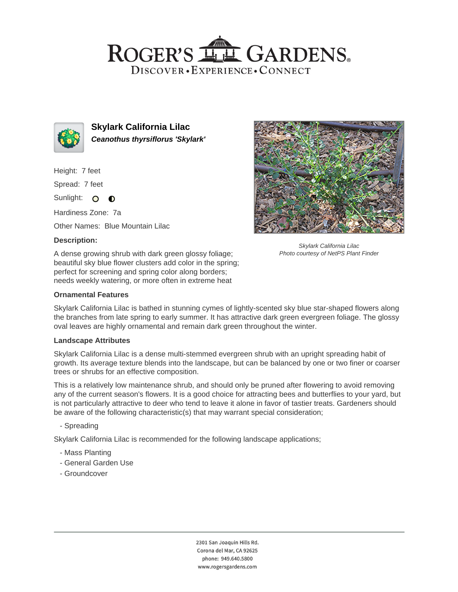# ROGER'S LL GARDENS. DISCOVER · EXPERIENCE · CONNECT



**Skylark California Lilac Ceanothus thyrsiflorus 'Skylark'**

Height: 7 feet

Spread: 7 feet

Sunlight: O **O** 

Hardiness Zone: 7a

Other Names: Blue Mountain Lilac

### **Description:**

A dense growing shrub with dark green glossy foliage; beautiful sky blue flower clusters add color in the spring; perfect for screening and spring color along borders; needs weekly watering, or more often in extreme heat

Skylark California Lilac Photo courtesy of NetPS Plant Finder

#### **Ornamental Features**

Skylark California Lilac is bathed in stunning cymes of lightly-scented sky blue star-shaped flowers along the branches from late spring to early summer. It has attractive dark green evergreen foliage. The glossy oval leaves are highly ornamental and remain dark green throughout the winter.

#### **Landscape Attributes**

Skylark California Lilac is a dense multi-stemmed evergreen shrub with an upright spreading habit of growth. Its average texture blends into the landscape, but can be balanced by one or two finer or coarser trees or shrubs for an effective composition.

This is a relatively low maintenance shrub, and should only be pruned after flowering to avoid removing any of the current season's flowers. It is a good choice for attracting bees and butterflies to your yard, but is not particularly attractive to deer who tend to leave it alone in favor of tastier treats. Gardeners should be aware of the following characteristic(s) that may warrant special consideration;

- Spreading

Skylark California Lilac is recommended for the following landscape applications;

- Mass Planting
- General Garden Use
- Groundcover

2301 San Joaquin Hills Rd. Corona del Mar, CA 92625 phone: 949.640.5800 www.rogersgardens.com